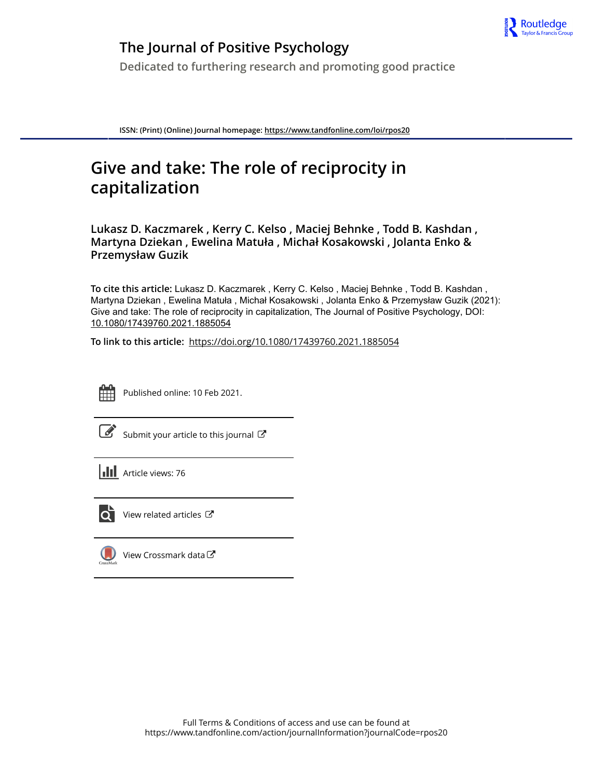

# **The Journal of Positive Psychology**

**Dedicated to furthering research and promoting good practice**

**ISSN: (Print) (Online) Journal homepage:<https://www.tandfonline.com/loi/rpos20>**

# **Give and take: The role of reciprocity in capitalization**

**Lukasz D. Kaczmarek , Kerry C. Kelso , Maciej Behnke , Todd B. Kashdan , Martyna Dziekan , Ewelina Matuła , Michał Kosakowski , Jolanta Enko & Przemysław Guzik**

**To cite this article:** Lukasz D. Kaczmarek , Kerry C. Kelso , Maciej Behnke , Todd B. Kashdan , Martyna Dziekan , Ewelina Matuła , Michał Kosakowski , Jolanta Enko & Przemysław Guzik (2021): Give and take: The role of reciprocity in capitalization, The Journal of Positive Psychology, DOI: [10.1080/17439760.2021.1885054](https://www.tandfonline.com/action/showCitFormats?doi=10.1080/17439760.2021.1885054)

**To link to this article:** <https://doi.org/10.1080/17439760.2021.1885054>



Published online: 10 Feb 2021.

[Submit your article to this journal](https://www.tandfonline.com/action/authorSubmission?journalCode=rpos20&show=instructions)  $\mathbb{Z}$ 

**Article views: 76** 



 $\overline{Q}$  [View related articles](https://www.tandfonline.com/doi/mlt/10.1080/17439760.2021.1885054)  $\mathbb{Z}$ 

[View Crossmark data](http://crossmark.crossref.org/dialog/?doi=10.1080/17439760.2021.1885054&domain=pdf&date_stamp=2021-02-10)  $\sigma$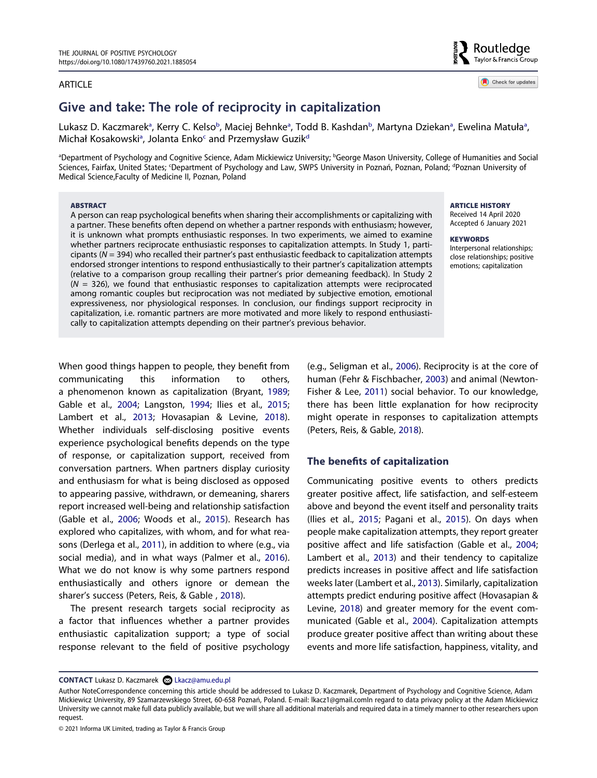#### ARTICLE

# **Give and take: The role of reciprocity in capitalization**

Luk[a](#page-1-0)sz D. Kaczmarek<sup>a</sup>, Kerry C. Kelso<sup>b</sup>, Maciej Behnke<sup>a</sup>, Todd B. Kashdan<sup>b</sup>, Marty[na](#page-1-0) Dziekan<sup>a</sup>, Ewelina Matuła<sup>a</sup>, Mich[a](#page-1-0)ł Kosakowski<sup>a</sup>, Jolanta Enko<sup>c</sup> and Przemysław Guzik<sup>d</sup>

<span id="page-1-1"></span><span id="page-1-0"></span>a Department of Psychology and Cognitive Science, Adam Mickiewicz University; b George Mason University, College of Humanities and Social Sciences, Fairfax, United States; <sup>c</sup>Department of Psychology and Law, SWPS University in Poznań, Poznan, Poland; <sup>a</sup>Poznan University of Medical Science,Faculty of Medicine II, Poznan, Poland

#### **ABSTRACT**

A person can reap psychological benefits when sharing their accomplishments or capitalizing with a partner. These benefits often depend on whether a partner responds with enthusiasm; however, it is unknown what prompts enthusiastic responses. In two experiments, we aimed to examine whether partners reciprocate enthusiastic responses to capitalization attempts. In Study 1, participants (*N* = 394) who recalled their partner's past enthusiastic feedback to capitalization attempts endorsed stronger intentions to respond enthusiastically to their partner's capitalization attempts (relative to a comparison group recalling their partner's prior demeaning feedback). In Study 2 (*N* = 326), we found that enthusiastic responses to capitalization attempts were reciprocated among romantic couples but reciprocation was not mediated by subjective emotion, emotional expressiveness, nor physiological responses. In conclusion, our findings support reciprocity in capitalization, i.e. romantic partners are more motivated and more likely to respond enthusiastically to capitalization attempts depending on their partner's previous behavior.

**ARTICLE HISTORY**  Received 14 April 2020 Accepted 6 January 2021

#### **KEYWORDS**  Interpersonal relationships; close relationships; positive

emotions; capitalization

<span id="page-1-10"></span><span id="page-1-2"></span>When good things happen to people, they benefit from communicating this information to others, a phenomenon known as capitalization (Bryant, [1989;](#page-10-0) Gable et al., [2004](#page-11-0); Langston, [1994](#page-11-1); Ilies et al., [2015;](#page-11-2) Lambert et al., [2013](#page-11-3); Hovasapian & Levine, [2018\)](#page-11-4). Whether individuals self-disclosing positive events experience psychological benefits depends on the type of response, or capitalization support, received from conversation partners. When partners display curiosity and enthusiasm for what is being disclosed as opposed to appearing passive, withdrawn, or demeaning, sharers report increased well-being and relationship satisfaction (Gable et al., [2006;](#page-11-5) Woods et al., [2015\)](#page-12-0). Research has explored who capitalizes, with whom, and for what reasons (Derlega et al., [2011](#page-11-6)), in addition to where (e.g., via social media), and in what ways (Palmer et al., [2016\)](#page-12-1). What we do not know is why some partners respond enthusiastically and others ignore or demean the sharer's success (Peters, Reis, & Gable , [2018](#page-12-2)).

<span id="page-1-12"></span><span id="page-1-5"></span><span id="page-1-3"></span>The present research targets social reciprocity as a factor that influences whether a partner provides enthusiastic capitalization support; a type of social response relevant to the field of positive psychology <span id="page-1-14"></span><span id="page-1-11"></span><span id="page-1-4"></span>(e.g., Seligman et al., [2006\)](#page-12-3). Reciprocity is at the core of human (Fehr & Fischbacher, [2003\)](#page-11-7) and animal (Newton-Fisher & Lee, [2011\)](#page-12-4) social behavior. To our knowledge, there has been little explanation for how reciprocity might operate in responses to capitalization attempts (Peters, Reis, & Gable, [2018](#page-12-2)).

# <span id="page-1-13"></span>**The benefits of capitalization**

<span id="page-1-9"></span><span id="page-1-8"></span><span id="page-1-7"></span><span id="page-1-6"></span>Communicating positive events to others predicts greater positive affect, life satisfaction, and self-esteem above and beyond the event itself and personality traits (Ilies et al., [2015;](#page-11-2) Pagani et al., [2015\)](#page-12-5). On days when people make capitalization attempts, they report greater positive affect and life satisfaction (Gable et al., [2004](#page-11-0); Lambert et al., [2013](#page-11-3)) and their tendency to capitalize predicts increases in positive affect and life satisfaction weeks later (Lambert et al., [2013\)](#page-11-3). Similarly, capitalization attempts predict enduring positive affect (Hovasapian & Levine, [2018\)](#page-11-4) and greater memory for the event communicated (Gable et al., [2004\)](#page-11-0). Capitalization attempts produce greater positive affect than writing about these events and more life satisfaction, happiness, vitality, and

**CONTACT** Lukasz D. Kaczmarek Lkacz@amu.edu.pl

© 2021 Informa UK Limited, trading as Taylor & Francis Group



Check for updates

Author NoteCorrespondence concerning this article should be addressed to Lukasz D. Kaczmarek, Department of Psychology and Cognitive Science, Adam Mickiewicz University, 89 Szamarzewskiego Street, 60-658 Poznań, Poland. E-mail: lkacz1@gmail.comIn regard to data privacy policy at the Adam Mickiewicz University we cannot make full data publicly available, but we will share all additional materials and required data in a timely manner to other researchers upon request.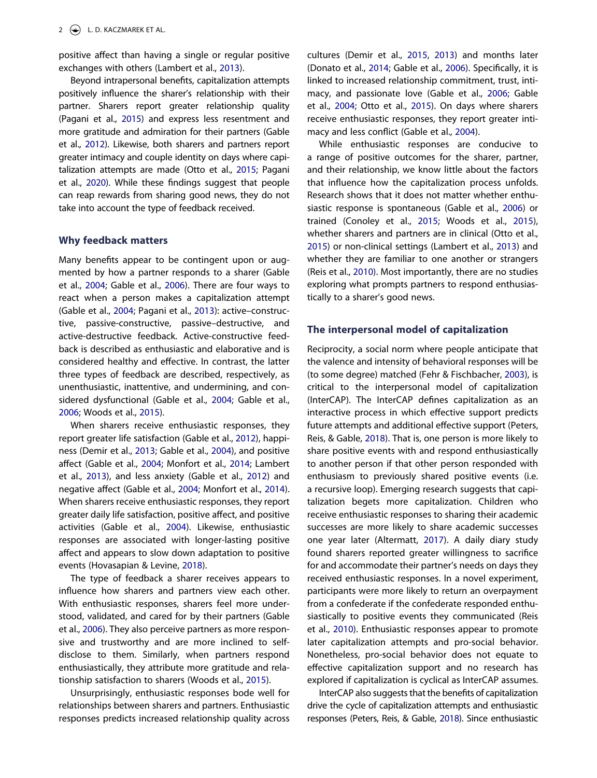positive affect than having a single or regular positive exchanges with others (Lambert et al., [2013\)](#page-11-3).

Beyond intrapersonal benefits, capitalization attempts positively influence the sharer's relationship with their partner. Sharers report greater relationship quality (Pagani et al., [2015](#page-12-5)) and express less resentment and more gratitude and admiration for their partners (Gable et al., [2012\)](#page-11-8). Likewise, both sharers and partners report greater intimacy and couple identity on days where capitalization attempts are made (Otto et al., [2015](#page-12-6); Pagani et al., [2020](#page-12-7)). While these findings suggest that people can reap rewards from sharing good news, they do not take into account the type of feedback received.

#### <span id="page-2-8"></span>**Why feedback matters**

<span id="page-2-7"></span>Many benefits appear to be contingent upon or augmented by how a partner responds to a sharer (Gable et al., [2004](#page-11-0); Gable et al., [2006\)](#page-11-5). There are four ways to react when a person makes a capitalization attempt (Gable et al., [2004](#page-11-0); Pagani et al., [2013\)](#page-12-8): active–constructive, passive-constructive, passive–destructive, and active-destructive feedback. Active-constructive feedback is described as enthusiastic and elaborative and is considered healthy and effective. In contrast, the latter three types of feedback are described, respectively, as unenthusiastic, inattentive, and undermining, and considered dysfunctional (Gable et al., [2004;](#page-11-0) Gable et al., [2006;](#page-11-5) Woods et al., [2015\)](#page-12-0).

<span id="page-2-5"></span><span id="page-2-4"></span>When sharers receive enthusiastic responses, they report greater life satisfaction (Gable et al., [2012](#page-11-8)), happiness (Demir et al., [2013](#page-11-9); Gable et al., [2004](#page-11-0)), and positive affect (Gable et al., [2004;](#page-11-0) Monfort et al., [2014](#page-11-10); Lambert et al., [2013\)](#page-11-3), and less anxiety (Gable et al., [2012\)](#page-11-8) and negative affect (Gable et al., [2004](#page-11-0); Monfort et al., [2014\)](#page-11-10). When sharers receive enthusiastic responses, they report greater daily life satisfaction, positive affect, and positive activities (Gable et al., [2004](#page-11-0)). Likewise, enthusiastic responses are associated with longer-lasting positive affect and appears to slow down adaptation to positive events (Hovasapian & Levine, [2018\)](#page-11-4).

The type of feedback a sharer receives appears to influence how sharers and partners view each other. With enthusiastic responses, sharers feel more understood, validated, and cared for by their partners (Gable et al., [2006\)](#page-11-5). They also perceive partners as more responsive and trustworthy and are more inclined to selfdisclose to them. Similarly, when partners respond enthusiastically, they attribute more gratitude and relationship satisfaction to sharers (Woods et al., [2015\)](#page-12-0).

Unsurprisingly, enthusiastic responses bode well for relationships between sharers and partners. Enthusiastic responses predicts increased relationship quality across <span id="page-2-3"></span><span id="page-2-2"></span>cultures (Demir et al., [2015](#page-10-1), [2013](#page-11-9)) and months later (Donato et al., [2014;](#page-11-11) Gable et al., [2006](#page-11-5)). Specifically, it is linked to increased relationship commitment, trust, intimacy, and passionate love (Gable et al., [2006](#page-11-5); Gable et al., [2004](#page-11-0); Otto et al., [2015](#page-12-6)). On days where sharers receive enthusiastic responses, they report greater intimacy and less conflict (Gable et al., [2004](#page-11-0)).

<span id="page-2-6"></span><span id="page-2-1"></span>While enthusiastic responses are conducive to a range of positive outcomes for the sharer, partner, and their relationship, we know little about the factors that influence how the capitalization process unfolds. Research shows that it does not matter whether enthusiastic response is spontaneous (Gable et al., [2006\)](#page-11-5) or trained (Conoley et al., [2015](#page-10-2); Woods et al., [2015\)](#page-12-0), whether sharers and partners are in clinical (Otto et al., [2015](#page-12-6)) or non-clinical settings (Lambert et al., [2013](#page-11-3)) and whether they are familiar to one another or strangers (Reis et al., [2010](#page-12-9)). Most importantly, there are no studies exploring what prompts partners to respond enthusiastically to a sharer's good news.

#### **The interpersonal model of capitalization**

Reciprocity, a social norm where people anticipate that the valence and intensity of behavioral responses will be (to some degree) matched (Fehr & Fischbacher, [2003\)](#page-11-7), is critical to the interpersonal model of capitalization (InterCAP). The InterCAP defines capitalization as an interactive process in which effective support predicts future attempts and additional effective support (Peters, Reis, & Gable, [2018](#page-12-2)). That is, one person is more likely to share positive events with and respond enthusiastically to another person if that other person responded with enthusiasm to previously shared positive events (i.e. a recursive loop). Emerging research suggests that capitalization begets more capitalization. Children who receive enthusiastic responses to sharing their academic successes are more likely to share academic successes one year later (Altermatt, [2017](#page-10-3)). A daily diary study found sharers reported greater willingness to sacrifice for and accommodate their partner's needs on days they received enthusiastic responses. In a novel experiment, participants were more likely to return an overpayment from a confederate if the confederate responded enthusiastically to positive events they communicated (Reis et al., [2010\)](#page-12-9). Enthusiastic responses appear to promote later capitalization attempts and pro-social behavior. Nonetheless, pro-social behavior does not equate to effective capitalization support and no research has explored if capitalization is cyclical as InterCAP assumes.

<span id="page-2-9"></span><span id="page-2-0"></span>InterCAP also suggests that the benefits of capitalization drive the cycle of capitalization attempts and enthusiastic responses (Peters, Reis, & Gable, [2018\)](#page-12-2). Since enthusiastic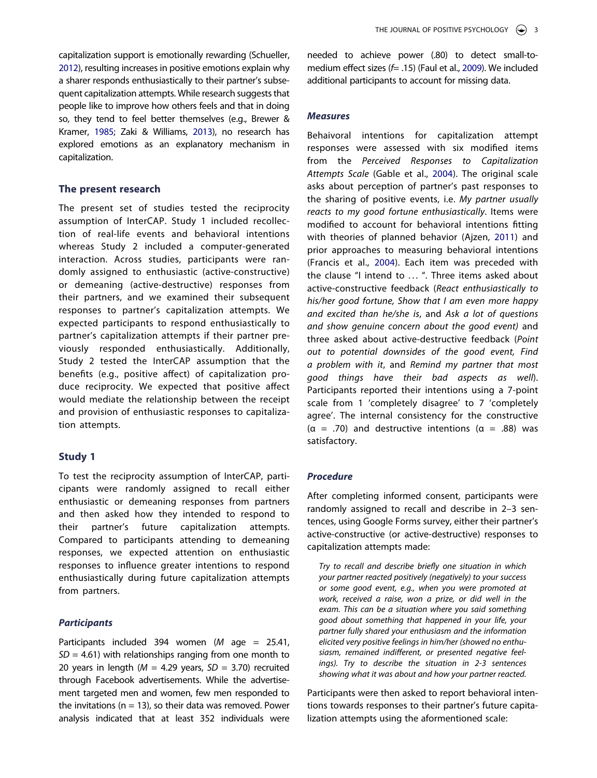<span id="page-3-4"></span>capitalization support is emotionally rewarding (Schueller, [2012\)](#page-12-10), resulting increases in positive emotions explain why a sharer responds enthusiastically to their partner's subsequent capitalization attempts. While research suggests that people like to improve how others feels and that in doing so, they tend to feel better themselves (e.g., Brewer & Kramer, [1985](#page-10-4); Zaki & Williams, [2013\)](#page-12-11), no research has explored emotions as an explanatory mechanism in capitalization.

# <span id="page-3-1"></span>**The present research**

The present set of studies tested the reciprocity assumption of InterCAP. Study 1 included recollection of real-life events and behavioral intentions whereas Study 2 included a computer-generated interaction. Across studies, participants were randomly assigned to enthusiastic (active-constructive) or demeaning (active-destructive) responses from their partners, and we examined their subsequent responses to partner's capitalization attempts. We expected participants to respond enthusiastically to partner's capitalization attempts if their partner previously responded enthusiastically. Additionally, Study 2 tested the InterCAP assumption that the benefits (e.g., positive affect) of capitalization produce reciprocity. We expected that positive affect would mediate the relationship between the receipt and provision of enthusiastic responses to capitalization attempts.

# **Study 1**

To test the reciprocity assumption of InterCAP, participants were randomly assigned to recall either enthusiastic or demeaning responses from partners and then asked how they intended to respond to their partner's future capitalization attempts. Compared to participants attending to demeaning responses, we expected attention on enthusiastic responses to influence greater intentions to respond enthusiastically during future capitalization attempts from partners.

# *Participants*

Participants included 394 women (*M* age = 25.41,  $SD = 4.61$ ) with relationships ranging from one month to 20 years in length (*M* = 4.29 years, *SD* = 3.70) recruited through Facebook advertisements. While the advertisement targeted men and women, few men responded to the invitations ( $n = 13$ ), so their data was removed. Power analysis indicated that at least 352 individuals were

<span id="page-3-2"></span>needed to achieve power (.80) to detect small-tomedium effect sizes (*f*= .15) (Faul et al., [2009\)](#page-11-12). We included additional participants to account for missing data.

#### *Measures*

<span id="page-3-3"></span><span id="page-3-0"></span>Behaivoral intentions for capitalization attempt responses were assessed with six modified items from the *Perceived Responses to Capitalization Attempts Scale* (Gable et al., [2004](#page-11-0)). The original scale asks about perception of partner's past responses to the sharing of positive events, i.e. *My partner usually reacts to my good fortune enthusiastically*. Items were modified to account for behavioral intentions fitting with theories of planned behavior (Ajzen, [2011\)](#page-10-5) and prior approaches to measuring behavioral intentions (Francis et al., [2004](#page-11-13)). Each item was preceded with the clause "I intend to ... ". Three items asked about active-constructive feedback (*React enthusiastically to his/her good fortune, Show that I am even more happy and excited than he/she is*, and *Ask a lot of questions and show genuine concern about the good event)* and three asked about active-destructive feedback (*Point out to potential downsides of the good event, Find a problem with it*, and *Remind my partner that most good things have their bad aspects as well*). Participants reported their intentions using a 7-point scale from 1 'completely disagree' to 7 'completely agree'. The internal consistency for the constructive (α = .70) and destructive intentions (α = .88) was satisfactory.

#### *Procedure*

After completing informed consent, participants were randomly assigned to recall and describe in 2–3 sentences, using Google Forms survey, either their partner's active-constructive (or active-destructive) responses to capitalization attempts made:

*Try to recall and describe briefly one situation in which your partner reacted positively (negatively) to your success or some good event, e.g., when you were promoted at work, received a raise, won a prize, or did well in the exam. This can be a situation where you said something good about something that happened in your life, your partner fully shared your enthusiasm and the information elicited very positive feelings in him/her (showed no enthusiasm, remained indifferent, or presented negative feelings). Try to describe the situation in 2-3 sentences showing what it was about and how your partner reacted.*

Participants were then asked to report behavioral intentions towards responses to their partner's future capitalization attempts using the aformentioned scale: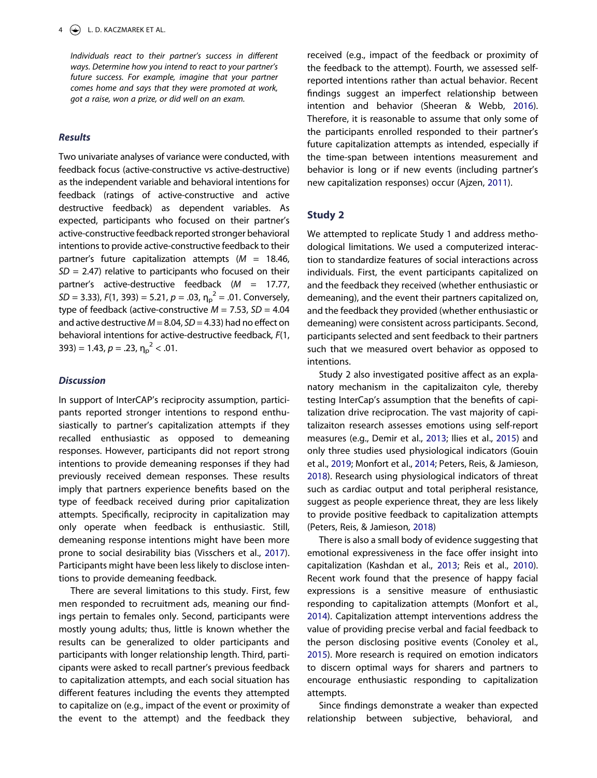*Individuals react to their partner's success in different ways. Determine how you intend to react to your partner's future success. For example, imagine that your partner comes home and says that they were promoted at work, got a raise, won a prize, or did well on an exam.*

# *Results*

Two univariate analyses of variance were conducted, with feedback focus (active-constructive vs active-destructive) as the independent variable and behavioral intentions for feedback (ratings of active-constructive and active destructive feedback) as dependent variables. As expected, participants who focused on their partner's active-constructive feedback reported stronger behavioral intentions to provide active-constructive feedback to their partner's future capitalization attempts (*M* = 18.46, *SD* = 2.47) relative to participants who focused on their partner's active-destructive feedback (*M* = 17.77,  $SD = 3.33$ ,  $F(1, 393) = 5.21$ ,  $p = .03$ ,  $\eta_p^2 = .01$ . Conversely, type of feedback (active-constructive *M* = 7.53, *SD* = 4.04 and active destructive *M* = 8.04, *SD* = 4.33) had no effect on behavioral intentions for active-destructive feedback, *F*(1, 393) = 1.43,  $p = .23$ ,  $n_p^2 < .01$ .

#### *Discussion*

In support of InterCAP's reciprocity assumption, participants reported stronger intentions to respond enthusiastically to partner's capitalization attempts if they recalled enthusiastic as opposed to demeaning responses. However, participants did not report strong intentions to provide demeaning responses if they had previously received demean responses. These results imply that partners experience benefits based on the type of feedback received during prior capitalization attempts. Specifically, reciprocity in capitalization may only operate when feedback is enthusiastic. Still, demeaning response intentions might have been more prone to social desirability bias (Visschers et al., [2017\)](#page-12-12). Participants might have been less likely to disclose intentions to provide demeaning feedback.

<span id="page-4-4"></span>There are several limitations to this study. First, few men responded to recruitment ads, meaning our findings pertain to females only. Second, participants were mostly young adults; thus, little is known whether the results can be generalized to older participants and participants with longer relationship length. Third, participants were asked to recall partner's previous feedback to capitalization attempts, and each social situation has different features including the events they attempted to capitalize on (e.g., impact of the event or proximity of the event to the attempt) and the feedback they <span id="page-4-3"></span>received (e.g., impact of the feedback or proximity of the feedback to the attempt). Fourth, we assessed selfreported intentions rather than actual behavior. Recent findings suggest an imperfect relationship between intention and behavior (Sheeran & Webb, [2016\)](#page-12-13). Therefore, it is reasonable to assume that only some of the participants enrolled responded to their partner's future capitalization attempts as intended, especially if the time-span between intentions measurement and behavior is long or if new events (including partner's new capitalization responses) occur (Ajzen, [2011](#page-10-5)).

# **Study 2**

We attempted to replicate Study 1 and address methodological limitations. We used a computerized interaction to standardize features of social interactions across individuals. First, the event participants capitalized on and the feedback they received (whether enthusiastic or demeaning), and the event their partners capitalized on, and the feedback they provided (whether enthusiastic or demeaning) were consistent across participants. Second, participants selected and sent feedback to their partners such that we measured overt behavior as opposed to intentions.

Study 2 also investigated positive affect as an explanatory mechanism in the capitalizaiton cyle, thereby testing InterCap's assumption that the benefits of capitalization drive reciprocation. The vast majority of capitalizaiton research assesses emotions using self-report measures (e.g., Demir et al., [2013;](#page-11-9) Ilies et al., [2015](#page-11-2)) and only three studies used physiological indicators (Gouin et al., [2019;](#page-11-14) Monfort et al., [2014](#page-11-10); Peters, Reis, & Jamieson, [2018](#page-12-14)). Research using physiological indicators of threat such as cardiac output and total peripheral resistance, suggest as people experience threat, they are less likely to provide positive feedback to capitalization attempts (Peters, Reis, & Jamieson, [2018](#page-12-14))

<span id="page-4-2"></span><span id="page-4-1"></span><span id="page-4-0"></span>There is also a small body of evidence suggesting that emotional expressiveness in the face offer insight into capitalization (Kashdan et al., [2013](#page-11-15); Reis et al., [2010\)](#page-12-9). Recent work found that the presence of happy facial expressions is a sensitive measure of enthusiastic responding to capitalization attempts (Monfort et al., [2014](#page-11-10)). Capitalization attempt interventions address the value of providing precise verbal and facial feedback to the person disclosing positive events (Conoley et al., [2015](#page-10-2)). More research is required on emotion indicators to discern optimal ways for sharers and partners to encourage enthusiastic responding to capitalization attempts.

Since findings demonstrate a weaker than expected relationship between subjective, behavioral, and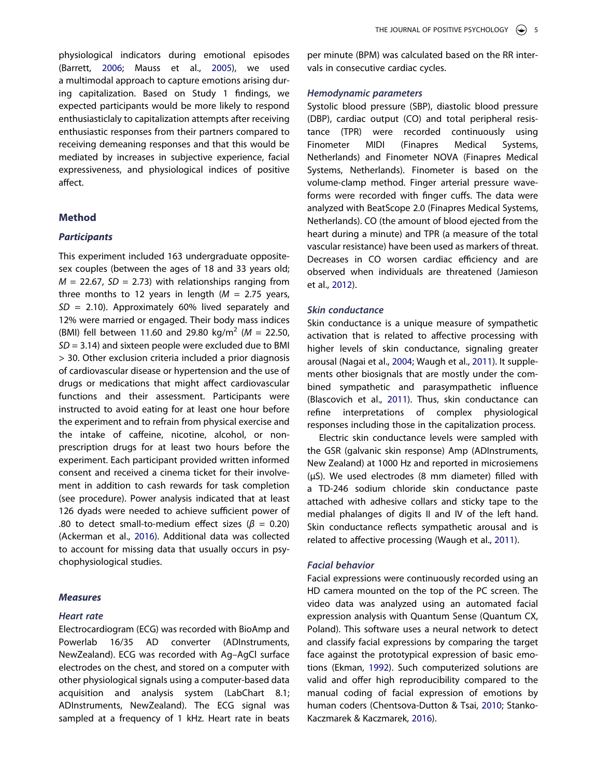<span id="page-5-1"></span>physiological indicators during emotional episodes (Barrett, [2006;](#page-10-6) Mauss et al., [2005\)](#page-11-16), we used a multimodal approach to capture emotions arising during capitalization. Based on Study 1 findings, we expected participants would be more likely to respond enthusiasticlaly to capitalization attempts after receiving enthusiastic responses from their partners compared to receiving demeaning responses and that this would be mediated by increases in subjective experience, facial expressiveness, and physiological indices of positive affect.

# **Method**

# *Participants*

This experiment included 163 undergraduate oppositesex couples (between the ages of 18 and 33 years old;  $M = 22.67$ ,  $SD = 2.73$ ) with relationships ranging from three months to 12 years in length  $(M = 2.75$  years, *SD* = 2.10). Approximately 60% lived separately and 12% were married or engaged. Their body mass indices (BMI) fell between 11.60 and 29.80 kg/m2 (*M* = 22.50, *SD* = 3.14) and sixteen people were excluded due to BMI > 30. Other exclusion criteria included a prior diagnosis of cardiovascular disease or hypertension and the use of drugs or medications that might affect cardiovascular functions and their assessment. Participants were instructed to avoid eating for at least one hour before the experiment and to refrain from physical exercise and the intake of caffeine, nicotine, alcohol, or nonprescription drugs for at least two hours before the experiment. Each participant provided written informed consent and received a cinema ticket for their involvement in addition to cash rewards for task completion (see procedure). Power analysis indicated that at least 126 dyads were needed to achieve sufficient power of .80 to detect small-to-medium effect sizes ( $β = 0.20$ ) (Ackerman et al., [2016\)](#page-10-7). Additional data was collected to account for missing data that usually occurs in psychophysiological studies.

#### <span id="page-5-0"></span>*Measures*

#### *Heart rate*

Electrocardiogram (ECG) was recorded with BioAmp and Powerlab 16/35 AD converter (ADInstruments, NewZealand). ECG was recorded with Ag–AgCl surface electrodes on the chest, and stored on a computer with other physiological signals using a computer-based data acquisition and analysis system (LabChart 8.1; ADInstruments, NewZealand). The ECG signal was sampled at a frequency of 1 kHz. Heart rate in beats

per minute (BPM) was calculated based on the RR intervals in consecutive cardiac cycles.

#### *Hemodynamic parameters*

Systolic blood pressure (SBP), diastolic blood pressure (DBP), cardiac output (CO) and total peripheral resistance (TPR) were recorded continuously using Finometer MIDI (Finapres Medical Systems, Netherlands) and Finometer NOVA (Finapres Medical Systems, Netherlands). Finometer is based on the volume-clamp method. Finger arterial pressure waveforms were recorded with finger cuffs. The data were analyzed with BeatScope 2.0 (Finapres Medical Systems, Netherlands). CO (the amount of blood ejected from the heart during a minute) and TPR (a measure of the total vascular resistance) have been used as markers of threat. Decreases in CO worsen cardiac efficiency and are observed when individuals are threatened (Jamieson et al., [2012](#page-11-17)).

#### <span id="page-5-5"></span>*Skin conductance*

<span id="page-5-6"></span>Skin conductance is a unique measure of sympathetic activation that is related to affective processing with higher levels of skin conductance, signaling greater arousal (Nagai et al., [2004;](#page-12-15) Waugh et al., [2011\)](#page-12-16). It supplements other biosignals that are mostly under the combined sympathetic and parasympathetic influence (Blascovich et al., [2011](#page-10-8)). Thus, skin conductance can refine interpretations of complex physiological responses including those in the capitalization process.

<span id="page-5-2"></span>Electric skin conductance levels were sampled with the GSR (galvanic skin response) Amp (ADInstruments, New Zealand) at 1000 Hz and reported in microsiemens (µS). We used electrodes (8 mm diameter) filled with a TD-246 sodium chloride skin conductance paste attached with adhesive collars and sticky tape to the medial phalanges of digits II and IV of the left hand. Skin conductance reflects sympathetic arousal and is related to affective processing (Waugh et al., [2011](#page-12-16)).

#### <span id="page-5-8"></span>*Facial behavior*

<span id="page-5-7"></span><span id="page-5-4"></span><span id="page-5-3"></span>Facial expressions were continuously recorded using an HD camera mounted on the top of the PC screen. The video data was analyzed using an automated facial expression analysis with Quantum Sense (Quantum CX, Poland). This software uses a neural network to detect and classify facial expressions by comparing the target face against the prototypical expression of basic emotions (Ekman, [1992\)](#page-11-18). Such computerized solutions are valid and offer high reproducibility compared to the manual coding of facial expression of emotions by human coders (Chentsova-Dutton & Tsai, [2010](#page-10-9); Stanko-Kaczmarek & Kaczmarek, [2016](#page-12-17)).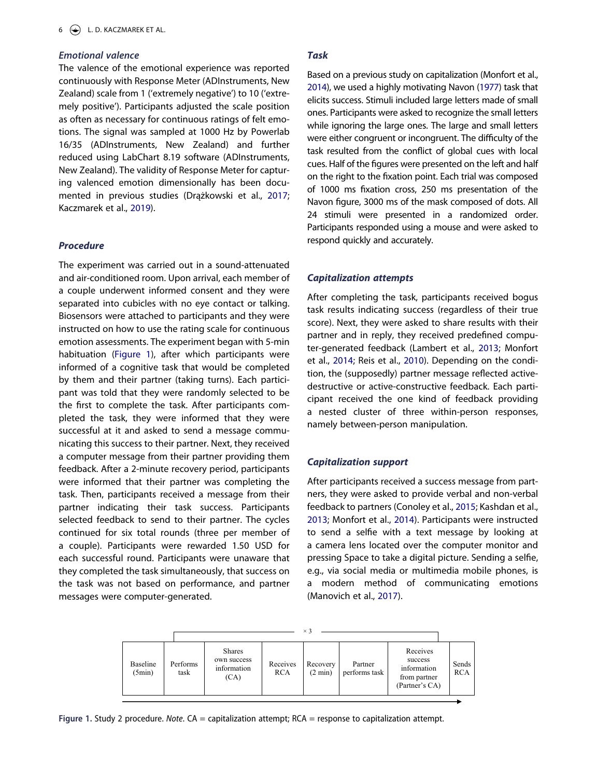# *Emotional valence*

The valence of the emotional experience was reported continuously with Response Meter (ADInstruments, New Zealand) scale from 1 ('extremely negative') to 10 ('extremely positive'). Participants adjusted the scale position as often as necessary for continuous ratings of felt emotions. The signal was sampled at 1000 Hz by Powerlab 16/35 (ADInstruments, New Zealand) and further reduced using LabChart 8.19 software (ADInstruments, New Zealand). The validity of Response Meter for capturing valenced emotion dimensionally has been documented in previous studies (Drążkowski et al., [2017;](#page-11-19) Kaczmarek et al., [2019\)](#page-11-20).

#### <span id="page-6-2"></span><span id="page-6-1"></span>*Procedure*

The experiment was carried out in a sound-attenuated and air-conditioned room. Upon arrival, each member of a couple underwent informed consent and they were separated into cubicles with no eye contact or talking. Biosensors were attached to participants and they were instructed on how to use the rating scale for continuous emotion assessments. The experiment began with 5-min habituation [\(Figure 1](#page-6-0)), after which participants were informed of a cognitive task that would be completed by them and their partner (taking turns). Each participant was told that they were randomly selected to be the first to complete the task. After participants completed the task, they were informed that they were successful at it and asked to send a message communicating this success to their partner. Next, they received a computer message from their partner providing them feedback. After a 2-minute recovery period, participants were informed that their partner was completing the task. Then, participants received a message from their partner indicating their task success. Participants selected feedback to send to their partner. The cycles continued for six total rounds (three per member of a couple). Participants were rewarded 1.50 USD for each successful round. Participants were unaware that they completed the task simultaneously, that success on the task was not based on performance, and partner messages were computer-generated.

#### *Task*

<span id="page-6-4"></span>Based on a previous study on capitalization (Monfort et al., [2014\)](#page-11-10), we used a highly motivating Navon ([1977](#page-12-18)) task that elicits success. Stimuli included large letters made of small ones. Participants were asked to recognize the small letters while ignoring the large ones. The large and small letters were either congruent or incongruent. The difficulty of the task resulted from the conflict of global cues with local cues. Half of the figures were presented on the left and half on the right to the fixation point. Each trial was composed of 1000 ms fixation cross, 250 ms presentation of the Navon figure, 3000 ms of the mask composed of dots. All 24 stimuli were presented in a randomized order. Participants responded using a mouse and were asked to respond quickly and accurately.

#### *Capitalization attempts*

After completing the task, participants received bogus task results indicating success (regardless of their true score). Next, they were asked to share results with their partner and in reply, they received predefined computer-generated feedback (Lambert et al., [2013](#page-11-3); Monfort et al., [2014;](#page-11-10) Reis et al., [2010\)](#page-12-9). Depending on the condition, the (supposedly) partner message reflected activedestructive or active-constructive feedback. Each participant received the one kind of feedback providing a nested cluster of three within-person responses, namely between-person manipulation.

# *Capitalization support*

<span id="page-6-3"></span>After participants received a success message from partners, they were asked to provide verbal and non-verbal feedback to partners (Conoley et al., [2015;](#page-10-2) Kashdan et al., [2013](#page-11-15); Monfort et al., [2014\)](#page-11-10). Participants were instructed to send a selfie with a text message by looking at a camera lens located over the computer monitor and pressing Space to take a digital picture. Sending a selfie, e.g., via social media or multimedia mobile phones, is a modern method of communicating emotions (Manovich et al., [2017](#page-11-21)).

<span id="page-6-0"></span>

**Figure 1.** Study 2 procedure. *Note*. CA = capitalization attempt; RCA = response to capitalization attempt.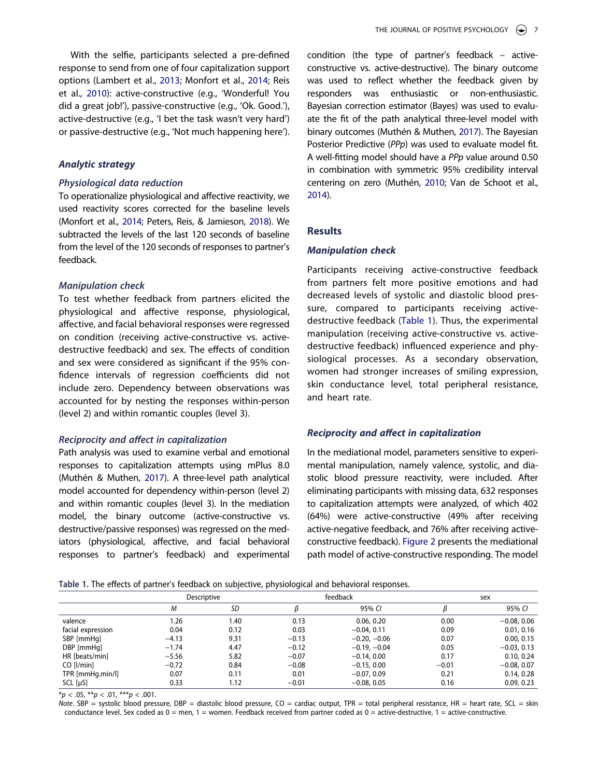With the selfie, participants selected a pre-defined response to send from one of four capitalization support options (Lambert et al., [2013;](#page-11-3) Monfort et al., [2014;](#page-11-10) Reis et al., [2010](#page-12-9)): active-constructive (e.g., 'Wonderful! You did a great job!'), passive-constructive (e.g., 'Ok. Good.'), active-destructive (e.g., 'I bet the task wasn't very hard') or passive-destructive (e.g., 'Not much happening here').

# *Analytic strategy*

#### *Physiological data reduction*

To operationalize physiological and affective reactivity, we used reactivity scores corrected for the baseline levels (Monfort et al., [2014;](#page-11-10) Peters, Reis, & Jamieson, [2018](#page-12-14)). We subtracted the levels of the last 120 seconds of baseline from the level of the 120 seconds of responses to partner's feedback.

# *Manipulation check*

To test whether feedback from partners elicited the physiological and affective response, physiological, affective, and facial behavioral responses were regressed on condition (receiving active-constructive vs. activedestructive feedback) and sex. The effects of condition and sex were considered as significant if the 95% confidence intervals of regression coefficients did not include zero. Dependency between observations was accounted for by nesting the responses within-person (level 2) and within romantic couples (level 3).

#### *Reciprocity and affect in capitalization*

Path analysis was used to examine verbal and emotional responses to capitalization attempts using mPlus 8.0 (Muthén & Muthen, [2017\)](#page-12-19). A three-level path analytical model accounted for dependency within-person (level 2) and within romantic couples (level 3). In the mediation model, the binary outcome (active-constructive vs. destructive/passive responses) was regressed on the mediators (physiological, affective, and facial behavioral responses to partner's feedback) and experimental <span id="page-7-2"></span>condition (the type of partner's feedback – activeconstructive vs. active-destructive). The binary outcome was used to reflect whether the feedback given by responders was enthusiastic or non-enthusiastic. Bayesian correction estimator (Bayes) was used to evaluate the fit of the path analytical three-level model with binary outcomes (Muthén & Muthen, [2017](#page-12-19)). The Bayesian Posterior Predictive (*PPp*) was used to evaluate model fit. A well-fitting model should have a *PPp* value around 0.50 in combination with symmetric 95% credibility interval centering on zero (Muthén, [2010;](#page-12-20) Van de Schoot et al., [2014\)](#page-12-21).

# <span id="page-7-1"></span>**Results**

#### *Manipulation check*

Participants receiving active-constructive feedback from partners felt more positive emotions and had decreased levels of systolic and diastolic blood pressure, compared to participants receiving activedestructive feedback ([Table 1\)](#page-7-0). Thus, the experimental manipulation (receiving active-constructive vs. activedestructive feedback) influenced experience and physiological processes. As a secondary observation, women had stronger increases of smiling expression, skin conductance level, total peripheral resistance, and heart rate.

#### *Reciprocity and affect in capitalization*

In the mediational model, parameters sensitive to experimental manipulation, namely valence, systolic, and diastolic blood pressure reactivity, were included. After eliminating participants with missing data, 632 responses to capitalization attempts were analyzed, of which 402 (64%) were active-constructive (49% after receiving active-negative feedback, and 76% after receiving activeconstructive feedback). [Figure 2](#page-8-0) presents the mediational path model of active-constructive responding. The model

<span id="page-7-0"></span>

| Table 1. The effects of partner's feedback on subjective, physiological and behavioral responses. |  |  |  |
|---------------------------------------------------------------------------------------------------|--|--|--|
|---------------------------------------------------------------------------------------------------|--|--|--|

|                   | Descriptive |      | $\tilde{\phantom{a}}$<br>feedback |                |         | sex           |  |
|-------------------|-------------|------|-----------------------------------|----------------|---------|---------------|--|
|                   | Μ           | SD   |                                   | 95% CI         |         | 95% CI        |  |
| valence           | 1.26        | 1.40 | 0.13                              | 0.06, 0.20     | 0.00    | $-0.08, 0.06$ |  |
| facial expression | 0.04        | 0.12 | 0.03                              | $-0.04, 0.11$  | 0.09    | 0.01, 0.16    |  |
| SBP [mmHq]        | $-4.13$     | 9.31 | $-0.13$                           | $-0.20, -0.06$ | 0.07    | 0.00, 0.15    |  |
| DBP [mmHq]        | $-1.74$     | 4.47 | $-0.12$                           | $-0.19, -0.04$ | 0.05    | $-0.03, 0.13$ |  |
| HR [beats/min]    | $-5.56$     | 5.82 | $-0.07$                           | $-0.14, 0.00$  | 0.17    | 0.10, 0.24    |  |
| CO [l/min]        | $-0.72$     | 0.84 | $-0.08$                           | $-0.15, 0.00$  | $-0.01$ | $-0.08, 0.07$ |  |
| TPR [mmHg.min/l]  | 0.07        | 0.11 | 0.01                              | $-0.07, 0.09$  | 0.21    | 0.14, 0.28    |  |
| $SCL$ [ $\mu S$ ] | 0.33        | 1.12 | $-0.01$                           | $-0.08, 0.05$  | 0.16    | 0.09, 0.23    |  |

\**p* < .05, \*\**p* < .01, \*\*\**p* < .001.

*Note*. SBP = systolic blood pressure, DBP = diastolic blood pressure, CO = cardiac output, TPR = total peripheral resistance, HR = heart rate, SCL = skin conductance level. Sex coded as  $0 =$  men,  $1 =$  women. Feedback received from partner coded as  $0 =$  active-destructive,  $1 =$  active-constructive.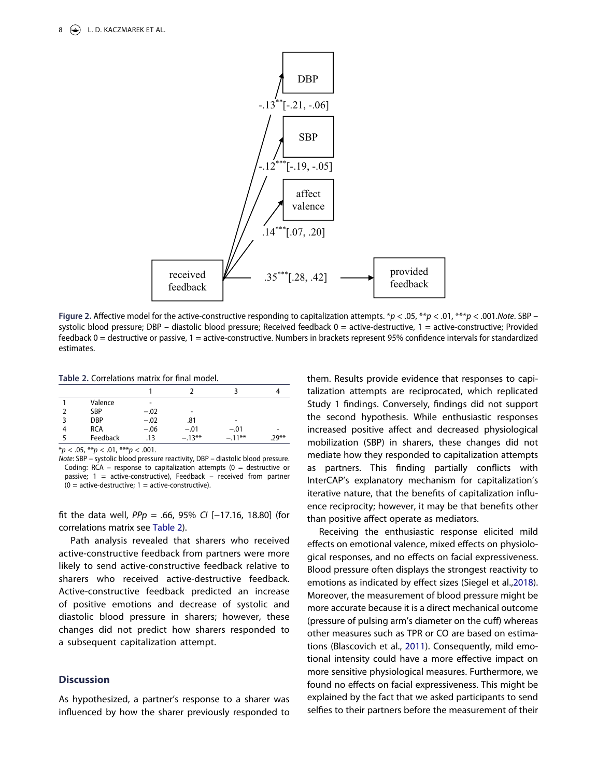<span id="page-8-0"></span>

**Figure 2.** Affective model for the active-constructive responding to capitalization attempts. \**p* < .05, \*\**p* < .01, \*\*\**p* < .001.*Note*. SBP – systolic blood pressure; DBP – diastolic blood pressure; Received feedback  $0 =$  active-destructive,  $1 =$  active-constructive; Provided feedback 0 = destructive or passive, 1 = active-constructive. Numbers in brackets represent 95% confidence intervals for standardized estimates.

<span id="page-8-1"></span>**Table 2.** Correlations matrix for final model.

| Valence<br><b>SBP</b><br>$-.02$<br>-      |       |
|-------------------------------------------|-------|
|                                           |       |
|                                           |       |
| <b>DBP</b><br>$-.02$<br>.81<br>-          |       |
| <b>RCA</b><br>$-.06$<br>$-.01$<br>$-.01$  |       |
| Feedback<br>$-.13***$<br>$-.11***$<br>.13 | .29** |

\**p* < .05, \*\**p* < .01, \*\*\**p* < .001.

*Note*: SBP – systolic blood pressure reactivity, DBP – diastolic blood pressure. Coding: RCA – response to capitalization attempts ( $0 =$  destructive or passive;  $1 =$  active-constructive), Feedback – received from partner  $(0 =$  active-destructive; 1 = active-constructive).

fit the data well, *PPp* = .66, 95% *CI* [−17.16, 18.80] (for correlations matrix see [Table 2](#page-8-1)).

Path analysis revealed that sharers who received active-constructive feedback from partners were more likely to send active-constructive feedback relative to sharers who received active-destructive feedback. Active-constructive feedback predicted an increase of positive emotions and decrease of systolic and diastolic blood pressure in sharers; however, these changes did not predict how sharers responded to a subsequent capitalization attempt.

# **Discussion**

As hypothesized, a partner's response to a sharer was influenced by how the sharer previously responded to them. Results provide evidence that responses to capitalization attempts are reciprocated, which replicated Study 1 findings. Conversely, findings did not support the second hypothesis. While enthusiastic responses increased positive affect and decreased physiological mobilization (SBP) in sharers, these changes did not mediate how they responded to capitalization attempts as partners. This finding partially conflicts with InterCAP's explanatory mechanism for capitalization's iterative nature, that the benefits of capitalization influence reciprocity; however, it may be that benefits other than positive affect operate as mediators.

<span id="page-8-2"></span>Receiving the enthusiastic response elicited mild effects on emotional valence, mixed effects on physiological responses, and no effects on facial expressiveness. Blood pressure often displays the strongest reactivity to emotions as indicated by effect sizes (Siegel et al.,[2018\)](#page-12-22). Moreover, the measurement of blood pressure might be more accurate because it is a direct mechanical outcome (pressure of pulsing arm's diameter on the cuff) whereas other measures such as TPR or CO are based on estimations (Blascovich et al., [2011](#page-10-8)). Consequently, mild emotional intensity could have a more effective impact on more sensitive physiological measures. Furthermore, we found no effects on facial expressiveness. This might be explained by the fact that we asked participants to send selfies to their partners before the measurement of their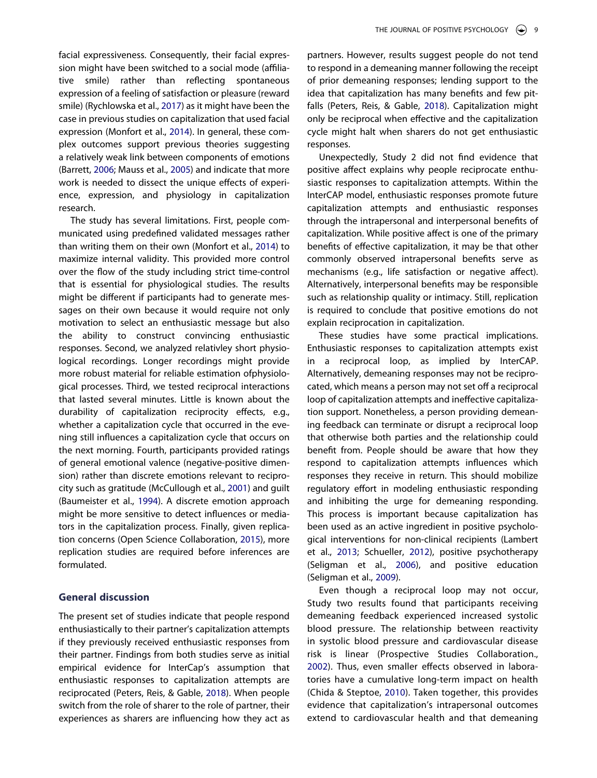<span id="page-9-5"></span>facial expressiveness. Consequently, their facial expression might have been switched to a social mode (affiliative smile) rather than reflecting spontaneous expression of a feeling of satisfaction or pleasure (reward smile) (Rychlowska et al., [2017](#page-12-23)) as it might have been the case in previous studies on capitalization that used facial expression (Monfort et al., [2014](#page-11-10)). In general, these complex outcomes support previous theories suggesting a relatively weak link between components of emotions (Barrett, [2006](#page-10-6); Mauss et al., [2005\)](#page-11-16) and indicate that more work is needed to dissect the unique effects of experience, expression, and physiology in capitalization research.

The study has several limitations. First, people communicated using predefined validated messages rather than writing them on their own (Monfort et al., [2014](#page-11-10)) to maximize internal validity. This provided more control over the flow of the study including strict time-control that is essential for physiological studies. The results might be different if participants had to generate messages on their own because it would require not only motivation to select an enthusiastic message but also the ability to construct convincing enthusiastic responses. Second, we analyzed relativley short physiological recordings. Longer recordings might provide more robust material for reliable estimation ofphysiological processes. Third, we tested reciprocal interactions that lasted several minutes. Little is known about the durability of capitalization reciprocity effects, e.g., whether a capitalization cycle that occurred in the evening still influences a capitalization cycle that occurs on the next morning. Fourth, participants provided ratings of general emotional valence (negative-positive dimension) rather than discrete emotions relevant to reciprocity such as gratitude (McCullough et al., [2001\)](#page-11-22) and guilt (Baumeister et al., [1994](#page-10-10)). A discrete emotion approach might be more sensitive to detect influences or mediators in the capitalization process. Finally, given replication concerns (Open Science Collaboration, [2015\)](#page-12-24), more replication studies are required before inferences are formulated.

# <span id="page-9-3"></span><span id="page-9-2"></span><span id="page-9-0"></span>**General discussion**

The present set of studies indicate that people respond enthusiastically to their partner's capitalization attempts if they previously received enthusiastic responses from their partner. Findings from both studies serve as initial empirical evidence for InterCap's assumption that enthusiastic responses to capitalization attempts are reciprocated (Peters, Reis, & Gable, [2018\)](#page-12-2). When people switch from the role of sharer to the role of partner, their experiences as sharers are influencing how they act as partners. However, results suggest people do not tend to respond in a demeaning manner following the receipt of prior demeaning responses; lending support to the idea that capitalization has many benefits and few pitfalls (Peters, Reis, & Gable, [2018\)](#page-12-2). Capitalization might only be reciprocal when effective and the capitalization cycle might halt when sharers do not get enthusiastic responses.

Unexpectedly, Study 2 did not find evidence that positive affect explains why people reciprocate enthusiastic responses to capitalization attempts. Within the InterCAP model, enthusiastic responses promote future capitalization attempts and enthusiastic responses through the intrapersonal and interpersonal benefits of capitalization. While positive affect is one of the primary benefits of effective capitalization, it may be that other commonly observed intrapersonal benefits serve as mechanisms (e.g., life satisfaction or negative affect). Alternatively, interpersonal benefits may be responsible such as relationship quality or intimacy. Still, replication is required to conclude that positive emotions do not explain reciprocation in capitalization.

These studies have some practical implications. Enthusiastic responses to capitalization attempts exist in a reciprocal loop, as implied by InterCAP. Alternatively, demeaning responses may not be reciprocated, which means a person may not set off a reciprocal loop of capitalization attempts and ineffective capitalization support. Nonetheless, a person providing demeaning feedback can terminate or disrupt a reciprocal loop that otherwise both parties and the relationship could benefit from. People should be aware that how they respond to capitalization attempts influences which responses they receive in return. This should mobilize regulatory effort in modeling enthusiastic responding and inhibiting the urge for demeaning responding. This process is important because capitalization has been used as an active ingredient in positive psychological interventions for non-clinical recipients (Lambert et al., [2013;](#page-11-3) Schueller, [2012\)](#page-12-10), positive psychotherapy (Seligman et al., [2006\)](#page-12-3), and positive education (Seligman et al., [2009](#page-12-25)).

<span id="page-9-6"></span><span id="page-9-4"></span><span id="page-9-1"></span>Even though a reciprocal loop may not occur, Study two results found that participants receiving demeaning feedback experienced increased systolic blood pressure. The relationship between reactivity in systolic blood pressure and cardiovascular disease risk is linear (Prospective Studies Collaboration., [2002\)](#page-12-26). Thus, even smaller effects observed in laboratories have a cumulative long-term impact on health (Chida & Steptoe, [2010\)](#page-10-11). Taken together, this provides evidence that capitalization's intrapersonal outcomes extend to cardiovascular health and that demeaning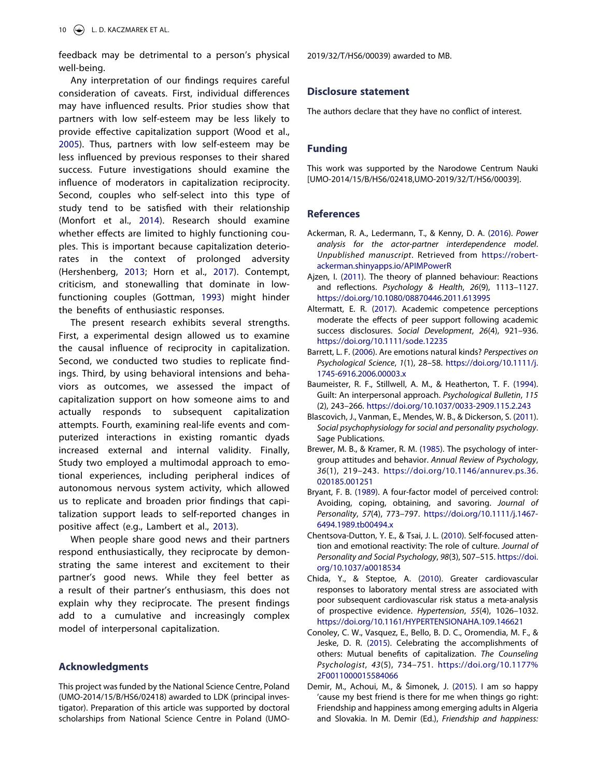feedback may be detrimental to a person's physical well-being.

<span id="page-10-14"></span>Any interpretation of our findings requires careful consideration of caveats. First, individual differences may have influenced results. Prior studies show that partners with low self-esteem may be less likely to provide effective capitalization support (Wood et al., [2005\)](#page-12-27). Thus, partners with low self-esteem may be less influenced by previous responses to their shared success. Future investigations should examine the influence of moderators in capitalization reciprocity. Second, couples who self-select into this type of study tend to be satisfied with their relationship (Monfort et al., [2014\)](#page-11-10). Research should examine whether effects are limited to highly functioning couples. This is important because capitalization deteriorates in the context of prolonged adversity (Hershenberg, [2013](#page-11-23); Horn et al., [2017\)](#page-11-24). Contempt, criticism, and stonewalling that dominate in lowfunctioning couples (Gottman, [1993](#page-11-25)) might hinder the benefits of enthusiastic responses.

<span id="page-10-13"></span><span id="page-10-12"></span>The present research exhibits several strengths. First, a experimental design allowed us to examine the causal influence of reciprocity in capitalization. Second, we conducted two studies to replicate findings. Third, by using behavioral intensions and behaviors as outcomes, we assessed the impact of capitalization support on how someone aims to and actually responds to subsequent capitalization attempts. Fourth, examining real-life events and computerized interactions in existing romantic dyads increased external and internal validity. Finally, Study two employed a multimodal approach to emotional experiences, including peripheral indices of autonomous nervous system activity, which allowed us to replicate and broaden prior findings that capitalization support leads to self-reported changes in positive affect (e.g., Lambert et al., [2013](#page-11-3)).

When people share good news and their partners respond enthusiastically, they reciprocate by demonstrating the same interest and excitement to their partner's good news. While they feel better as a result of their partner's enthusiasm, this does not explain why they reciprocate. The present findings add to a cumulative and increasingly complex model of interpersonal capitalization.

# **Acknowledgments**

This project was funded by the National Science Centre, Poland (UMO-2014/15/B/HS6/02418) awarded to LDK (principal investigator). Preparation of this article was supported by doctoral scholarships from National Science Centre in Poland (UMO- 2019/32/T/HS6/00039) awarded to MB.

#### **Disclosure statement**

The authors declare that they have no conflict of interest.

# **Funding**

This work was supported by the Narodowe Centrum Nauki [UMO-2014/15/B/HS6/02418,UMO-2019/32/T/HS6/00039].

# **References**

- <span id="page-10-7"></span>Ackerman, R. A., Ledermann, T., & Kenny, D. A. ([2016](#page-5-0)). *Power analysis for the actor-partner interdependence model*. *Unpublished manuscript*. Retrieved from [https://robert](https://robert-ackerman.shinyapps.io/APIMPowerR)[ackerman.shinyapps.io/APIMPowerR](https://robert-ackerman.shinyapps.io/APIMPowerR)
- <span id="page-10-5"></span>Ajzen, I. ([2011](#page-3-0)). The theory of planned behaviour: Reactions and reflections. *Psychology & Health*, *26*(9), 1113–1127. <https://doi.org/10.1080/08870446.2011.613995>
- <span id="page-10-3"></span>Altermatt, E. R. [\(2017\)](#page-2-0). Academic competence perceptions moderate the effects of peer support following academic success disclosures. *Social Development*, *26*(4), 921–936. <https://doi.org/10.1111/sode.12235>
- <span id="page-10-6"></span>Barrett, L. F. [\(2006\)](#page-5-1). Are emotions natural kinds? *Perspectives on Psychological Science*, *1*(1), 28–58. [https://doi.org/10.1111/j.](https://doi.org/10.1111/j.1745-6916.2006.00003.x) [1745-6916.2006.00003.x](https://doi.org/10.1111/j.1745-6916.2006.00003.x)
- <span id="page-10-10"></span>Baumeister, R. F., Stillwell, A. M., & Heatherton, T. F. ([1994](#page-9-0)). Guilt: An interpersonal approach. *Psychological Bulletin*, *115*  (2), 243–266. <https://doi.org/10.1037/0033-2909.115.2.243>
- <span id="page-10-8"></span>Blascovich, J., Vanman, E., Mendes, W. B., & Dickerson, S. ([2011](#page-5-2)). *Social psychophysiology for social and personality psychology*. Sage Publications.
- <span id="page-10-4"></span>Brewer, M. B., & Kramer, R. M. ([1985](#page-3-1)). The psychology of intergroup attitudes and behavior. *Annual Review of Psychology*, *36*(1), 219–243. [https://doi.org/10.1146/annurev.ps.36.](https://doi.org/10.1146/annurev.ps.36.020185.001251)  [020185.001251](https://doi.org/10.1146/annurev.ps.36.020185.001251)
- <span id="page-10-0"></span>Bryant, F. B. ([1989](#page-1-2)). A four-factor model of perceived control: Avoiding, coping, obtaining, and savoring. *Journal of Personality*, *57*(4), 773–797. [https://doi.org/10.1111/j.1467-](https://doi.org/10.1111/j.1467-6494.1989.tb00494.x) [6494.1989.tb00494.x](https://doi.org/10.1111/j.1467-6494.1989.tb00494.x)
- <span id="page-10-9"></span>Chentsova-Dutton, Y. E., & Tsai, J. L. ([2010](#page-5-3)). Self-focused attention and emotional reactivity: The role of culture. *Journal of Personality and Social Psychology*, *98*(3), 507–515. [https://doi.](https://doi.org/10.1037/a0018534) [org/10.1037/a0018534](https://doi.org/10.1037/a0018534)
- <span id="page-10-11"></span>Chida, Y., & Steptoe, A. ([2010](#page-9-1)). Greater cardiovascular responses to laboratory mental stress are associated with poor subsequent cardiovascular risk status a meta-analysis of prospective evidence. *Hypertension*, *55*(4), 1026–1032. <https://doi.org/10.1161/HYPERTENSIONAHA.109.146621>
- <span id="page-10-2"></span>Conoley, C. W., Vasquez, E., Bello, B. D. C., Oromendia, M. F., & Jeske, D. R. [\(2015\)](#page-2-1). Celebrating the accomplishments of others: Mutual benefits of capitalization. *The Counseling Psychologist*, *43*(5), 734–751. [https://doi.org/10.1177%](https://doi.org/10.1177%2F0011000015584066)  [2F0011000015584066](https://doi.org/10.1177%2F0011000015584066)
- <span id="page-10-1"></span>Demir, M., Achoui, M., & Šimonek, J. [\(2015\)](#page-2-2). I am so happy 'cause my best friend is there for me when things go right: Friendship and happiness among emerging adults in Algeria and Slovakia. In M. Demir (Ed.), *Friendship and happiness:*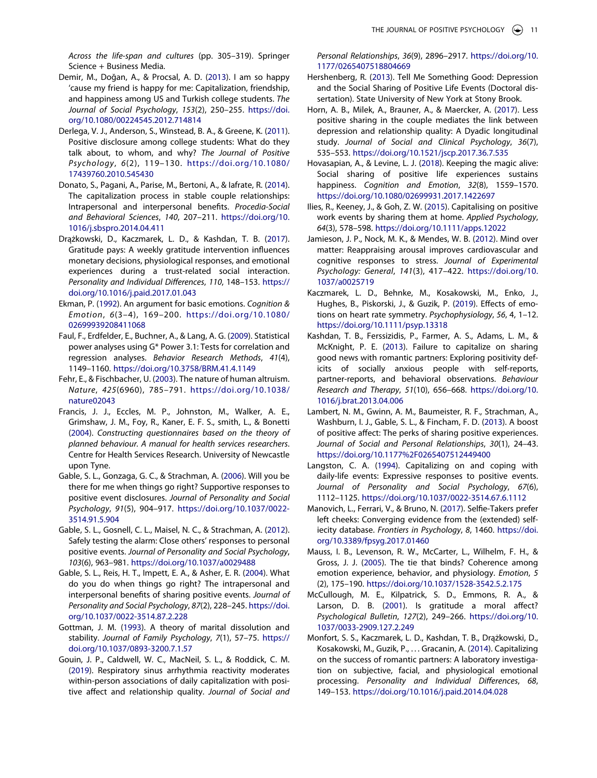*Across the life-span and cultures* (pp. 305–319). Springer Science + Business Media.

- <span id="page-11-9"></span>Demir, M., Doğan, A., & Procsal, A. D. [\(2013\)](#page-2-2). I am so happy 'cause my friend is happy for me: Capitalization, friendship, and happiness among US and Turkish college students. *The Journal of Social Psychology*, *153*(2), 250–255. [https://doi.](https://doi.org/10.1080/00224545.2012.714814)  [org/10.1080/00224545.2012.714814](https://doi.org/10.1080/00224545.2012.714814)
- <span id="page-11-6"></span>Derlega, V. J., Anderson, S., Winstead, B. A., & Greene, K. ([2011](#page-1-3)). Positive disclosure among college students: What do they talk about, to whom, and why? *The Journal of Positive Psychology*, *6*(2), 119–130. [https://doi.org/10.1080/](https://doi.org/10.1080/17439760.2010.545430) [17439760.2010.545430](https://doi.org/10.1080/17439760.2010.545430)
- <span id="page-11-11"></span>Donato, S., Pagani, A., Parise, M., Bertoni, A., & Iafrate, R. ([2014](#page-2-3)). The capitalization process in stable couple relationships: Intrapersonal and interpersonal benefits. *Procedia-Social and Behavioral Sciences*, *140*, 207–211. [https://doi.org/10.](https://doi.org/10.1016/j.sbspro.2014.04.411)  [1016/j.sbspro.2014.04.411](https://doi.org/10.1016/j.sbspro.2014.04.411)
- <span id="page-11-19"></span>Drążkowski, D., Kaczmarek, L. D., & Kashdan, T. B. ([2017](#page-6-1)). Gratitude pays: A weekly gratitude intervention influences monetary decisions, physiological responses, and emotional experiences during a trust-related social interaction. *Personality and Individual Differences*, *110*, 148–153. [https://](https://doi.org/10.1016/j.paid.2017.01.043)  [doi.org/10.1016/j.paid.2017.01.043](https://doi.org/10.1016/j.paid.2017.01.043)
- <span id="page-11-18"></span>Ekman, P. [\(1992\)](#page-5-4). An argument for basic emotions. *Cognition & Emotion*, *6*(3–4), 169–200. [https://doi.org/10.1080/](https://doi.org/10.1080/02699939208411068) [02699939208411068](https://doi.org/10.1080/02699939208411068)
- <span id="page-11-12"></span>Faul, F., Erdfelder, E., Buchner, A., & Lang, A. G. ([2009](#page-3-2)). Statistical power analyses using G\* Power 3.1: Tests for correlation and regression analyses. *Behavior Research Methods*, *41*(4), 1149–1160. <https://doi.org/10.3758/BRM.41.4.1149>
- <span id="page-11-7"></span>Fehr, E., & Fischbacher, U. [\(2003\)](#page-1-4). The nature of human altruism. *Nature*, *425*(6960), 785–791. [https://doi.org/10.1038/](https://doi.org/10.1038/nature02043) [nature02043](https://doi.org/10.1038/nature02043)
- <span id="page-11-13"></span>Francis, J. J., Eccles, M. P., Johnston, M., Walker, A. E., Grimshaw, J. M., Foy, R., Kaner, E. F. S., smith, L., & Bonetti ([2004](#page-3-3)). *Constructing questionnaires based on the theory of planned behaviour. A manual for health services researchers*. Centre for Health Services Research. University of Newcastle upon Tyne.
- <span id="page-11-5"></span>Gable, S. L., Gonzaga, G. C., & Strachman, A. [\(2006\)](#page-1-5). Will you be there for me when things go right? Supportive responses to positive event disclosures. *Journal of Personality and Social Psychology*, *91*(5), 904–917. [https://doi.org/10.1037/0022-](https://doi.org/10.1037/0022-3514.91.5.904)  [3514.91.5.904](https://doi.org/10.1037/0022-3514.91.5.904)
- <span id="page-11-8"></span>Gable, S. L., Gosnell, C. L., Maisel, N. C., & Strachman, A. ([2012](#page-2-4)). Safely testing the alarm: Close others' responses to personal positive events. *Journal of Personality and Social Psychology*, *103*(6), 963–981. <https://doi.org/10.1037/a0029488>
- <span id="page-11-0"></span>Gable, S. L., Reis, H. T., Impett, E. A., & Asher, E. R. [\(2004\)](#page-1-6). What do you do when things go right? The intrapersonal and interpersonal benefits of sharing positive events. *Journal of Personality and Social Psychology*, *87*(2), 228–245. [https://doi.](https://doi.org/10.1037/0022-3514.87.2.228)  [org/10.1037/0022-3514.87.2.228](https://doi.org/10.1037/0022-3514.87.2.228)
- <span id="page-11-25"></span>Gottman, J. M. ([1993](#page-10-12)). A theory of marital dissolution and stability. *Journal of Family Psychology*, *7*(1), 57–75. [https://](https://doi.org/10.1037/0893-3200.7.1.57)  [doi.org/10.1037/0893-3200.7.1.57](https://doi.org/10.1037/0893-3200.7.1.57)
- <span id="page-11-14"></span>Gouin, J. P., Caldwell, W. C., MacNeil, S. L., & Roddick, C. M. ([2019](#page-4-0)). Respiratory sinus arrhythmia reactivity moderates within-person associations of daily capitalization with positive affect and relationship quality. *Journal of Social and*

*Personal Relationships*, *36*(9), 2896–2917. [https://doi.org/10.](https://doi.org/10.1177/0265407518804669) [1177/0265407518804669](https://doi.org/10.1177/0265407518804669)

- <span id="page-11-23"></span>Hershenberg, R. ([2013](#page-10-13)). Tell Me Something Good: Depression and the Social Sharing of Positive Life Events (Doctoral dissertation). State University of New York at Stony Brook.
- <span id="page-11-24"></span>Horn, A. B., Milek, A., Brauner, A., & Maercker, A. [\(2017\)](#page-10-13). Less positive sharing in the couple mediates the link between depression and relationship quality: A Dyadic longitudinal study. *Journal of Social and Clinical Psychology*, *36*(7), 535–553. <https://doi.org/10.1521/jscp.2017.36.7.535>
- <span id="page-11-4"></span>Hovasapian, A., & Levine, L. J. [\(2018\)](#page-1-7). Keeping the magic alive: Social sharing of positive life experiences sustains happiness. *Cognition and Emotion*, *32*(8), 1559–1570. <https://doi.org/10.1080/02699931.2017.1422697>
- <span id="page-11-2"></span>Ilies, R., Keeney, J., & Goh, Z. W. ([2015](#page-1-8)). Capitalising on positive work events by sharing them at home. *Applied Psychology*, *64*(3), 578–598. <https://doi.org/10.1111/apps.12022>
- <span id="page-11-17"></span>Jamieson, J. P., Nock, M. K., & Mendes, W. B. [\(2012\)](#page-5-5). Mind over matter: Reappraising arousal improves cardiovascular and cognitive responses to stress. *Journal of Experimental Psychology: General*, *141*(3), 417–422. [https://doi.org/10.](https://doi.org/10.1037/a0025719)  [1037/a0025719](https://doi.org/10.1037/a0025719)
- <span id="page-11-20"></span>Kaczmarek, L. D., Behnke, M., Kosakowski, M., Enko, J., Hughes, B., Piskorski, J., & Guzik, P. ([2019](#page-6-2)). Effects of emotions on heart rate symmetry. *Psychophysiology*, *56*, 4, 1–12. <https://doi.org/10.1111/psyp.13318>
- <span id="page-11-15"></span>Kashdan, T. B., Ferssizidis, P., Farmer, A. S., Adams, L. M., & McKnight, P. E. [\(2013\)](#page-4-1). Failure to capitalize on sharing good news with romantic partners: Exploring positivity deficits of socially anxious people with self-reports, partner-reports, and behavioral observations. *Behaviour Research and Therapy*, *51*(10), 656–668. [https://doi.org/10.](https://doi.org/10.1016/j.brat.2013.04.006) [1016/j.brat.2013.04.006](https://doi.org/10.1016/j.brat.2013.04.006)
- <span id="page-11-3"></span>Lambert, N. M., Gwinn, A. M., Baumeister, R. F., Strachman, A., Washburn, I. J., Gable, S. L., & Fincham, F. D. ([2013](#page-1-9)). A boost of positive affect: The perks of sharing positive experiences. *Journal of Social and Personal Relationships*, *30*(1), 24–43. <https://doi.org/10.1177%2F0265407512449400>
- <span id="page-11-1"></span>Langston, C. A. [\(1994\)](#page-1-10). Capitalizing on and coping with daily-life events: Expressive responses to positive events. *Journal of Personality and Social Psychology*, *67*(6), 1112–1125. <https://doi.org/10.1037/0022-3514.67.6.1112>
- <span id="page-11-21"></span>Manovich, L., Ferrari, V., & Bruno, N. [\(2017\)](#page-6-3). Selfie-Takers prefer left cheeks: Converging evidence from the (extended) selfiecity database. *Frontiers in Psychology*, *8*, 1460. [https://doi.](https://doi.org/10.3389/fpsyg.2017.01460) [org/10.3389/fpsyg.2017.01460](https://doi.org/10.3389/fpsyg.2017.01460)
- <span id="page-11-16"></span>Mauss, I. B., Levenson, R. W., McCarter, L., Wilhelm, F. H., & Gross, J. J. [\(2005\)](#page-5-1). The tie that binds? Coherence among emotion experience, behavior, and physiology. *Emotion*, *5*  (2), 175–190. <https://doi.org/10.1037/1528-3542.5.2.175>
- <span id="page-11-22"></span>McCullough, M. E., Kilpatrick, S. D., Emmons, R. A., & Larson, D. B. ([2001](#page-9-2)). Is gratitude a moral affect? *Psychological Bulletin*, *127*(2), 249–266. [https://doi.org/10.](https://doi.org/10.1037/0033-2909.127.2.249)  [1037/0033-2909.127.2.249](https://doi.org/10.1037/0033-2909.127.2.249)
- <span id="page-11-10"></span>Monfort, S. S., Kaczmarek, L. D., Kashdan, T. B., Drążkowski, D., Kosakowski, M., Guzik, P., . . . Gracanin, A. [\(2014\)](#page-2-5). Capitalizing on the success of romantic partners: A laboratory investigation on subjective, facial, and physiological emotional processing. *Personality and Individual Differences*, *68*, 149–153. <https://doi.org/10.1016/j.paid.2014.04.028>